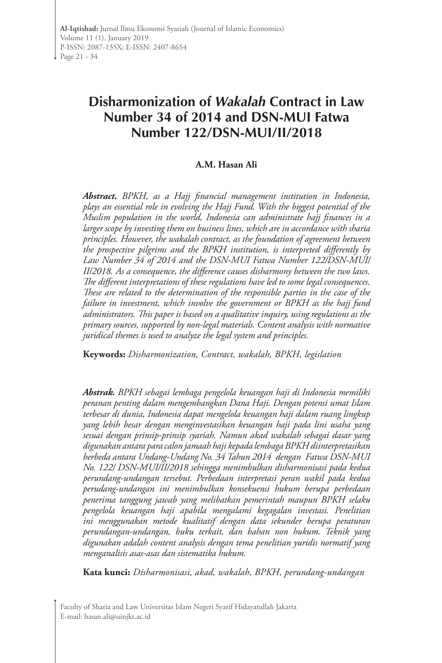# **Disharmonization of** *Wakalah* **Contract in Law Number 34 of 2014 and DSN-MUI Fatwa Number 122/DSN-MUI/II/2018**

#### **A.M. Hasan Ali**

*Abstract. BPKH, as a Hajj financial management institution in Indonesia, plays an essential role in evolving the Hajj Fund. With the biggest potential of the Muslim population in the world, Indonesia can administrate hajj finances in a larger scope by investing them on business lines, which are in accordance with sharia principles. However, the wakalah contract, as the foundation of agreement between the prospective pilgrims and the BPKH institution, is interpreted differently by Law Number 34 of 2014 and the DSN-MUI Fatwa Number 122/DSN-MUI/ II/2018. As a consequence, the difference causes disharmony between the two laws. The different interpretations of these regulations have led to some legal consequences. These are related to the determination of the responsible parties in the case of the failure in investment, which involve the government or BPKH as the hajj fund administrators. This paper is based on a qualitative inquiry, using regulations as the primary sources, supported by non-legal materials. Content analysis with normative juridical themes is used to analyze the legal system and principles.* 

**Keywords:** *Disharmonization, Contract, wakalah, BPKH, legislation*

*Abstrak. BPKH sebagai lembaga pengelola keuangan haji di Indonesia memiliki peranan penting dalam mengembangkan Dana Haji. Dengan potensi umat Islam terbesar di dunia, Indonesia dapat mengelola keuangan haji dalam ruang lingkup yang lebih besar dengan menginvestasikan keuangan haji pada lini usaha yang sesuai dengan prinsip-prinsip syariah. Namun akad wakalah sebagai dasar yang digunakan antara para calon jamaah haji kepada lembaga BPKH diinterpretasikan berbeda antara Undang-Undang No. 34 Tahun 2014 dengan Fatwa DSN-MUI No. 122/ DSN-MUI/II/2018 sehingga menimbulkan disharmonisasi pada kedua perundang-undangan tersebut. Perbedaan interpretasi peran wakil pada kedua perudang-undangan ini menimbulkan konsekuensi hukum berupa perbedaan penerima tanggung jawab yang melibatkan pemerintah maupun BPKH selaku pengelola keuangan haji apabila mengalami kegagalan investasi. Penelitian ini menggunakan metode kualitatif dengan data sekunder berupa peraturan perundangan-undangan, buku terkait, dan bahan non hukum. Teknik yang digunakan adalah content analysis dengan tema penelitian yuridis normatif yang menganalisis asas-asas dan sistematika hukum.* 

**Kata kunci:** *Disharmonisasi, akad, wakalah, BPKH, perundang-undangan*

Faculty of Sharia and Law Universitas Islam Negeri Syarif Hidayatullah Jakarta E-mail: hasan.ali@uinjkt.ac.id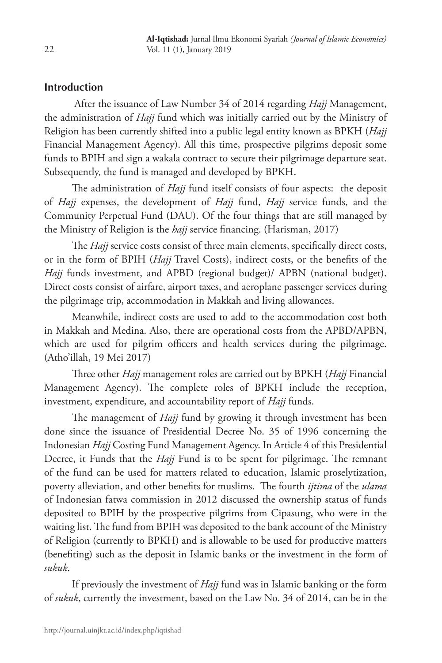## **Introduction**

 After the issuance of Law Number 34 of 2014 regarding *Hajj* Management, the administration of *Hajj* fund which was initially carried out by the Ministry of Religion has been currently shifted into a public legal entity known as BPKH (*Hajj* Financial Management Agency). All this time, prospective pilgrims deposit some funds to BPIH and sign a wakala contract to secure their pilgrimage departure seat. Subsequently, the fund is managed and developed by BPKH.

The administration of *Hajj* fund itself consists of four aspects: the deposit of *Hajj* expenses, the development of *Hajj* fund, *Hajj* service funds, and the Community Perpetual Fund (DAU). Of the four things that are still managed by the Ministry of Religion is the *hajj* service financing. (Harisman, 2017)

The *Hajj* service costs consist of three main elements, specifically direct costs, or in the form of BPIH (*Hajj* Travel Costs), indirect costs, or the benefits of the *Hajj* funds investment, and APBD (regional budget)/ APBN (national budget). Direct costs consist of airfare, airport taxes, and aeroplane passenger services during the pilgrimage trip, accommodation in Makkah and living allowances.

Meanwhile, indirect costs are used to add to the accommodation cost both in Makkah and Medina. Also, there are operational costs from the APBD/APBN, which are used for pilgrim officers and health services during the pilgrimage. (Atho'illah, 19 Mei 2017)

Three other *Hajj* management roles are carried out by BPKH (*Hajj* Financial Management Agency). The complete roles of BPKH include the reception, investment, expenditure, and accountability report of *Hajj* funds.

The management of *Hajj* fund by growing it through investment has been done since the issuance of Presidential Decree No. 35 of 1996 concerning the Indonesian *Hajj* Costing Fund Management Agency. In Article 4 of this Presidential Decree, it Funds that the *Hajj* Fund is to be spent for pilgrimage. The remnant of the fund can be used for matters related to education, Islamic proselytization, poverty alleviation, and other benefits for muslims. The fourth *ijtima* of the *ulama*  of Indonesian fatwa commission in 2012 discussed the ownership status of funds deposited to BPIH by the prospective pilgrims from Cipasung, who were in the waiting list. The fund from BPIH was deposited to the bank account of the Ministry of Religion (currently to BPKH) and is allowable to be used for productive matters (benefiting) such as the deposit in Islamic banks or the investment in the form of *sukuk*.

If previously the investment of *Hajj* fund was in Islamic banking or the form of *sukuk*, currently the investment, based on the Law No. 34 of 2014, can be in the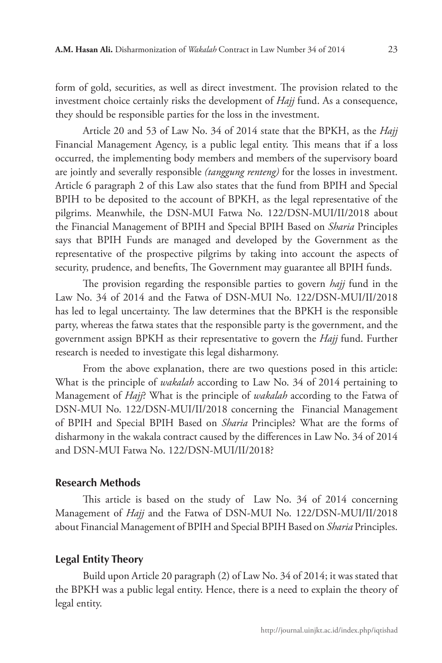form of gold, securities, as well as direct investment. The provision related to the investment choice certainly risks the development of *Hajj* fund. As a consequence, they should be responsible parties for the loss in the investment.

Article 20 and 53 of Law No. 34 of 2014 state that the BPKH, as the *Hajj* Financial Management Agency, is a public legal entity. This means that if a loss occurred, the implementing body members and members of the supervisory board are jointly and severally responsible *(tanggung renteng)* for the losses in investment. Article 6 paragraph 2 of this Law also states that the fund from BPIH and Special BPIH to be deposited to the account of BPKH, as the legal representative of the pilgrims. Meanwhile, the DSN-MUI Fatwa No. 122/DSN-MUI/II/2018 about the Financial Management of BPIH and Special BPIH Based on *Sharia* Principles says that BPIH Funds are managed and developed by the Government as the representative of the prospective pilgrims by taking into account the aspects of security, prudence, and benefits, The Government may guarantee all BPIH funds.

The provision regarding the responsible parties to govern *hajj* fund in the Law No. 34 of 2014 and the Fatwa of DSN-MUI No. 122/DSN-MUI/II/2018 has led to legal uncertainty. The law determines that the BPKH is the responsible party, whereas the fatwa states that the responsible party is the government, and the government assign BPKH as their representative to govern the *Hajj* fund. Further research is needed to investigate this legal disharmony.

From the above explanation, there are two questions posed in this article: What is the principle of *wakalah* according to Law No. 34 of 2014 pertaining to Management of *Hajj*? What is the principle of *wakalah* according to the Fatwa of DSN-MUI No. 122/DSN-MUI/II/2018 concerning the Financial Management of BPIH and Special BPIH Based on *Sharia* Principles? What are the forms of disharmony in the wakala contract caused by the differences in Law No. 34 of 2014 and DSN-MUI Fatwa No. 122/DSN-MUI/II/2018?

#### **Research Methods**

This article is based on the study of Law No. 34 of 2014 concerning Management of *Hajj* and the Fatwa of DSN-MUI No. 122/DSN-MUI/II/2018 about Financial Management of BPIH and Special BPIH Based on *Sharia* Principles.

#### **Legal Entity Theory**

Build upon Article 20 paragraph (2) of Law No. 34 of 2014; it was stated that the BPKH was a public legal entity. Hence, there is a need to explain the theory of legal entity.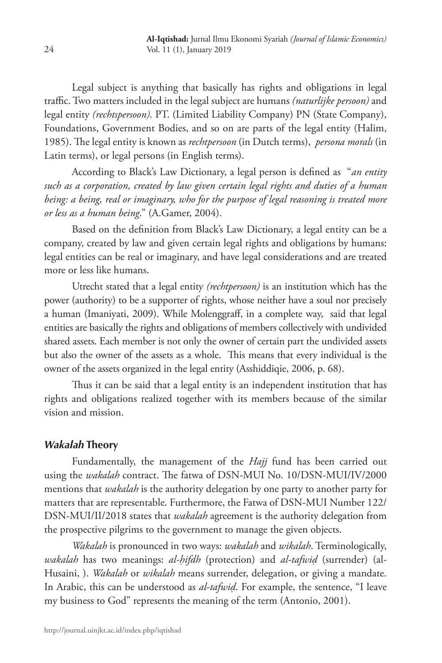Legal subject is anything that basically has rights and obligations in legal traffic. Two matters included in the legal subject are humans *(naturlijke persoon)* and legal entity *(rechtspersoon).* PT. (Limited Liability Company) PN (State Company), Foundations, Government Bodies, and so on are parts of the legal entity (Halim, 1985). The legal entity is known as *rechtpersoon* (in Dutch terms), *persona morals* (in Latin terms), or legal persons (in English terms).

According to Black's Law Dictionary, a legal person is defined as "*an entity such as a corporation, created by law given certain legal rights and duties of a human being: a being, real or imaginary, who for the purpose of legal reasoning is treated more or less as a human being*." (A.Gamer, 2004).

Based on the definition from Black's Law Dictionary, a legal entity can be a company, created by law and given certain legal rights and obligations by humans: legal entities can be real or imaginary, and have legal considerations and are treated more or less like humans.

Utrecht stated that a legal entity *(rechtpersoon)* is an institution which has the power (authority) to be a supporter of rights, whose neither have a soul nor precisely a human (Imaniyati, 2009). While Molenggraff, in a complete way, said that legal entities are basically the rights and obligations of members collectively with undivided shared assets. Each member is not only the owner of certain part the undivided assets but also the owner of the assets as a whole. This means that every individual is the owner of the assets organized in the legal entity (Asshiddiqie, 2006, p. 68).

Thus it can be said that a legal entity is an independent institution that has rights and obligations realized together with its members because of the similar vision and mission.

### *Wakalah* **Theory**

Fundamentally, the management of the *Hajj* fund has been carried out using the *wakalah* contract. The fatwa of DSN-MUI No. 10/DSN-MUI/IV/2000 mentions that *wakalah* is the authority delegation by one party to another party for matters that are representable. Furthermore, the Fatwa of DSN-MUI Number 122/ DSN-MUI/II/2018 states that *wakalah* agreement is the authority delegation from the prospective pilgrims to the government to manage the given objects.

*Wakalah* is pronounced in two ways: *wakalah* and *wikalah*. Terminologically, *wakalah* has two meanings: *al-ḥifdh* (protection) and *al-tafwiḍ* (surrender) (al-Husaini, ). *Wakalah* or *wikalah* means surrender, delegation, or giving a mandate. In Arabic, this can be understood as *al-tafwiḍ*. For example, the sentence, "I leave my business to God" represents the meaning of the term (Antonio, 2001).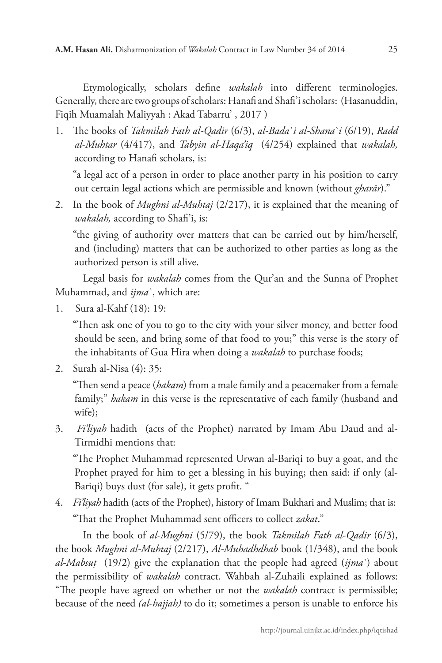Etymologically, scholars define *wakalah* into different terminologies. Generally, there are two groups of scholars: Hanafi and Shafi'i scholars: (Hasanuddin, Fiqih Muamalah Maliyyah : Akad Tabarru' , 2017 )

1. The books of *Takmilah Fath al-Qadir* (6/3), *al-Bada`i al-Shana`i* (6/19), *Radd al-Muhtar* (4/417), and *Tabyin al-Haqa'iq* (4/254) explained that *wakalah,*  according to Hanafi scholars, is:

"a legal act of a person in order to place another party in his position to carry out certain legal actions which are permissible and known (without *gharār*)."

2. In the book of *Mughni al-Muhtaj* (2/217), it is explained that the meaning of *wakalah,* according to Shafi'i, is:

"the giving of authority over matters that can be carried out by him/herself, and (including) matters that can be authorized to other parties as long as the authorized person is still alive.

Legal basis for *wakalah* comes from the Qur'an and the Sunna of Prophet Muhammad, and *ijma`*, which are:

1. Sura al-Kahf (18): 19:

"Then ask one of you to go to the city with your silver money, and better food should be seen, and bring some of that food to you;" this verse is the story of the inhabitants of Gua Hira when doing a *wakalah* to purchase foods;

2. Surah al-Nisa (4): 35:

"Then send a peace (*hakam*) from a male family and a peacemaker from a female family;" *hakam* in this verse is the representative of each family (husband and wife);

3. *Fi'liyah* hadith (acts of the Prophet) narrated by Imam Abu Daud and al-Tirmidhi mentions that:

"The Prophet Muhammad represented Urwan al-Bariqi to buy a goat, and the Prophet prayed for him to get a blessing in his buying; then said: if only (al-Bariqi) buys dust (for sale), it gets profit. "

4. *Fi'liyah* hadith (acts of the Prophet), history of Imam Bukhari and Muslim; that is: "That the Prophet Muhammad sent officers to collect *zakat*."

In the book of *al-Mughni* (5/79), the book *Takmilah Fath al-Qadir* (6/3), the book *Mughni al-Muhtaj* (2/217), *Al-Muhadhdhab* book (1/348), and the book *al-Mabsuṭ* (19/2) give the explanation that the people had agreed (*ijma`*) about the permissibility of *wakalah* contract. Wahbah al-Zuhaili explained as follows: "The people have agreed on whether or not the *wakalah* contract is permissible; because of the need *(al-hajjah)* to do it; sometimes a person is unable to enforce his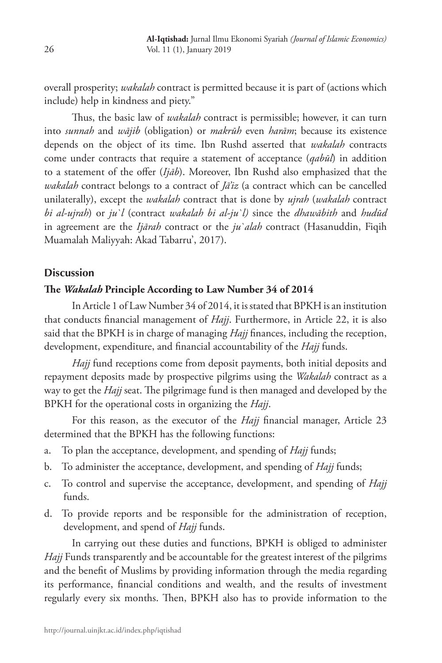overall prosperity; *wakalah* contract is permitted because it is part of (actions which include) help in kindness and piety."

Thus, the basic law of *wakalah* contract is permissible; however, it can turn into *sunnah* and *wājib* (obligation) or *makrūh* even *harām*; because its existence depends on the object of its time. Ibn Rushd asserted that *wakalah* contracts come under contracts that require a statement of acceptance (*qabūl*) in addition to a statement of the offer (*Ijāb*). Moreover, Ibn Rushd also emphasized that the *wakalah* contract belongs to a contract of *Jā'iz* (a contract which can be cancelled unilaterally), except the *wakalah* contract that is done by *ujrah* (*wakalah* contract *bi al-ujrah*) or *ju`l* (contract *wakalah bi al-ju`l)* since the *dhawābith* and *hudūd* in agreement are the *Ijārah* contract or the *ju`alah* contract (Hasanuddin, Fiqih Muamalah Maliyyah: Akad Tabarru', 2017).

#### **Discussion**

#### **The** *Wakalah* **Principle According to Law Number 34 of 2014**

In Article 1 of Law Number 34 of 2014, it is stated that BPKH is an institution that conducts financial management of *Hajj*. Furthermore, in Article 22, it is also said that the BPKH is in charge of managing *Hajj* finances, including the reception, development, expenditure, and financial accountability of the *Hajj* funds.

*Hajj* fund receptions come from deposit payments, both initial deposits and repayment deposits made by prospective pilgrims using the *Wakalah* contract as a way to get the *Hajj* seat. The pilgrimage fund is then managed and developed by the BPKH for the operational costs in organizing the *Hajj*.

For this reason, as the executor of the *Hajj* financial manager, Article 23 determined that the BPKH has the following functions:

- a. To plan the acceptance, development, and spending of *Hajj* funds;
- b. To administer the acceptance, development, and spending of *Hajj* funds;
- c. To control and supervise the acceptance, development, and spending of *Hajj* funds.
- d. To provide reports and be responsible for the administration of reception, development, and spend of *Hajj* funds.

In carrying out these duties and functions, BPKH is obliged to administer *Hajj* Funds transparently and be accountable for the greatest interest of the pilgrims and the benefit of Muslims by providing information through the media regarding its performance, financial conditions and wealth, and the results of investment regularly every six months. Then, BPKH also has to provide information to the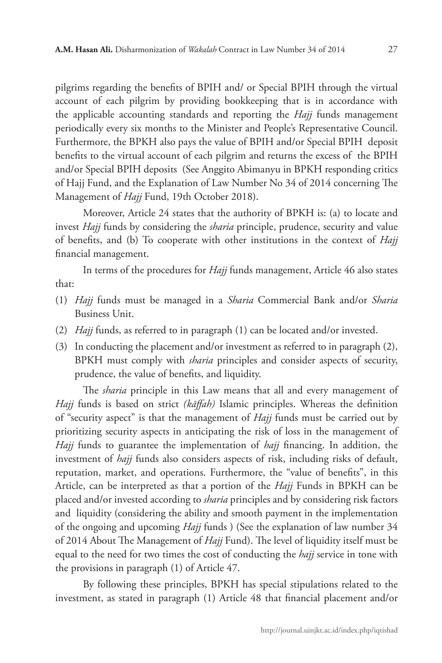pilgrims regarding the benefits of BPIH and/ or Special BPIH through the virtual account of each pilgrim by providing bookkeeping that is in accordance with the applicable accounting standards and reporting the *Hajj* funds management periodically every six months to the Minister and People's Representative Council. Furthermore, the BPKH also pays the value of BPIH and/or Special BPIH deposit benefits to the virtual account of each pilgrim and returns the excess of the BPIH and/or Special BPIH deposits (See Anggito Abimanyu in BPKH responding critics of Hajj Fund, and the Explanation of Law Number No 34 of 2014 concerning The Management of *Hajj* Fund, 19th October 2018).

Moreover, Article 24 states that the authority of BPKH is: (a) to locate and invest *Hajj* funds by considering the *sharia* principle, prudence, security and value of benefits, and (b) To cooperate with other institutions in the context of *Hajj* financial management.

In terms of the procedures for *Hajj* funds management, Article 46 also states that:

- (1) *Hajj* funds must be managed in a *Sharia* Commercial Bank and/or *Sharia* Business Unit.
- (2) *Hajj* funds, as referred to in paragraph (1) can be located and/or invested.
- (3) In conducting the placement and/or investment as referred to in paragraph (2), BPKH must comply with *sharia* principles and consider aspects of security, prudence, the value of benefits, and liquidity.

The *sharia* principle in this Law means that all and every management of *Hajj* funds is based on strict *(kāffah)* Islamic principles. Whereas the definition of "security aspect" is that the management of *Hajj* funds must be carried out by prioritizing security aspects in anticipating the risk of loss in the management of *Hajj* funds to guarantee the implementation of *hajj* financing. In addition, the investment of *hajj* funds also considers aspects of risk, including risks of default, reputation, market, and operations. Furthermore, the "value of benefits", in this Article, can be interpreted as that a portion of the *Hajj* Funds in BPKH can be placed and/or invested according to *sharia* principles and by considering risk factors and liquidity (considering the ability and smooth payment in the implementation of the ongoing and upcoming *Hajj* funds ) (See the explanation of law number 34 of 2014 About The Management of *Hajj* Fund). The level of liquidity itself must be equal to the need for two times the cost of conducting the *hajj* service in tone with the provisions in paragraph (1) of Article 47.

By following these principles, BPKH has special stipulations related to the investment, as stated in paragraph (1) Article 48 that financial placement and/or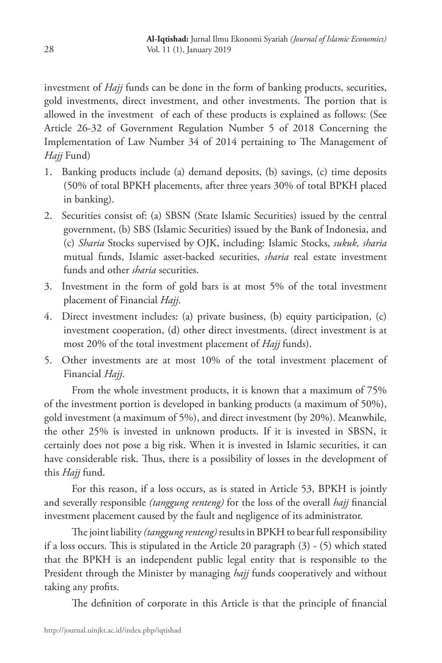investment of *Hajj* funds can be done in the form of banking products, securities, gold investments, direct investment, and other investments. The portion that is allowed in the investment of each of these products is explained as follows: (See Article 26-32 of Government Regulation Number 5 of 2018 Concerning the Implementation of Law Number 34 of 2014 pertaining to The Management of *Hajj* Fund)

- 1. Banking products include (a) demand deposits, (b) savings, (c) time deposits (50% of total BPKH placements, after three years 30% of total BPKH placed in banking).
- 2. Securities consist of: (a) SBSN (State Islamic Securities) issued by the central government, (b) SBS (Islamic Securities) issued by the Bank of Indonesia, and (c) *Sharia* Stocks supervised by OJK, including: Islamic Stocks, *sukuk, sharia* mutual funds, Islamic asset-backed securities, *sharia* real estate investment funds and other *sharia* securities.
- 3. Investment in the form of gold bars is at most 5% of the total investment placement of Financial *Hajj*.
- 4. Direct investment includes: (a) private business, (b) equity participation, (c) investment cooperation, (d) other direct investments. (direct investment is at most 20% of the total investment placement of *Hajj* funds).
- 5. Other investments are at most 10% of the total investment placement of Financial *Hajj*.

From the whole investment products, it is known that a maximum of 75% of the investment portion is developed in banking products (a maximum of 50%), gold investment (a maximum of 5%), and direct investment (by 20%). Meanwhile, the other 25% is invested in unknown products. If it is invested in SBSN, it certainly does not pose a big risk. When it is invested in Islamic securities, it can have considerable risk. Thus, there is a possibility of losses in the development of this *Hajj* fund.

For this reason, if a loss occurs, as is stated in Article 53, BPKH is jointly and severally responsible *(tanggung renteng)* for the loss of the overall *hajj* financial investment placement caused by the fault and negligence of its administrator.

The joint liability *(tanggung renteng)* results in BPKH to bear full responsibility if a loss occurs. This is stipulated in the Article 20 paragraph (3) - (5) which stated that the BPKH is an independent public legal entity that is responsible to the President through the Minister by managing *hajj* funds cooperatively and without taking any profits.

The definition of corporate in this Article is that the principle of financial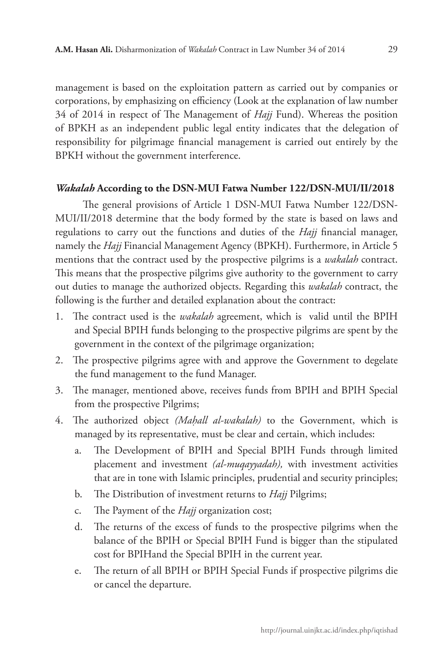management is based on the exploitation pattern as carried out by companies or corporations, by emphasizing on efficiency (Look at the explanation of law number 34 of 2014 in respect of The Management of *Hajj* Fund). Whereas the position of BPKH as an independent public legal entity indicates that the delegation of responsibility for pilgrimage financial management is carried out entirely by the BPKH without the government interference.

#### *Wakalah* **According to the DSN-MUI Fatwa Number 122/DSN-MUI/II/2018**

The general provisions of Article 1 DSN-MUI Fatwa Number 122/DSN-MUI/II/2018 determine that the body formed by the state is based on laws and regulations to carry out the functions and duties of the *Hajj* financial manager, namely the *Hajj* Financial Management Agency (BPKH). Furthermore, in Article 5 mentions that the contract used by the prospective pilgrims is a *wakalah* contract. This means that the prospective pilgrims give authority to the government to carry out duties to manage the authorized objects. Regarding this *wakalah* contract, the following is the further and detailed explanation about the contract:

- 1. The contract used is the *wakalah* agreement, which is valid until the BPIH and Special BPIH funds belonging to the prospective pilgrims are spent by the government in the context of the pilgrimage organization;
- 2. The prospective pilgrims agree with and approve the Government to degelate the fund management to the fund Manager.
- 3. The manager, mentioned above, receives funds from BPIH and BPIH Special from the prospective Pilgrims;
- 4. The authorized object *(Maḥall al-wakalah)* to the Government, which is managed by its representative, must be clear and certain, which includes:
	- a. The Development of BPIH and Special BPIH Funds through limited placement and investment *(al-muqayyadah),* with investment activities that are in tone with Islamic principles, prudential and security principles;
	- b. The Distribution of investment returns to *Hajj* Pilgrims;
	- c. The Payment of the *Hajj* organization cost;
	- d. The returns of the excess of funds to the prospective pilgrims when the balance of the BPIH or Special BPIH Fund is bigger than the stipulated cost for BPIHand the Special BPIH in the current year.
	- e. The return of all BPIH or BPIH Special Funds if prospective pilgrims die or cancel the departure.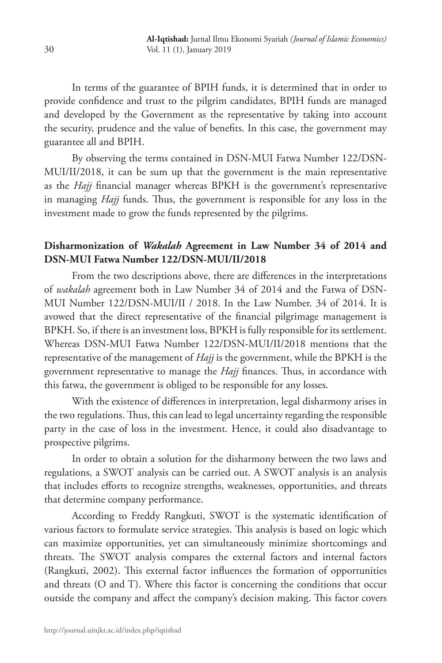In terms of the guarantee of BPIH funds, it is determined that in order to provide confidence and trust to the pilgrim candidates, BPIH funds are managed and developed by the Government as the representative by taking into account the security, prudence and the value of benefits. In this case, the government may guarantee all and BPIH.

By observing the terms contained in DSN-MUI Fatwa Number 122/DSN-MUI/II/2018, it can be sum up that the government is the main representative as the *Hajj* financial manager whereas BPKH is the government's representative in managing *Hajj* funds. Thus, the government is responsible for any loss in the investment made to grow the funds represented by the pilgrims.

## **Disharmonization of** *Wakalah* **Agreement in Law Number 34 of 2014 and DSN-MUI Fatwa Number 122/DSN-MUI/II/2018**

From the two descriptions above, there are differences in the interpretations of *wakalah* agreement both in Law Number 34 of 2014 and the Fatwa of DSN-MUI Number 122/DSN-MUI/II / 2018. In the Law Number. 34 of 2014. It is avowed that the direct representative of the financial pilgrimage management is BPKH. So, if there is an investment loss, BPKH is fully responsible for its settlement. Whereas DSN-MUI Fatwa Number 122/DSN-MUI/II/2018 mentions that the representative of the management of *Hajj* is the government, while the BPKH is the government representative to manage the *Hajj* finances. Thus, in accordance with this fatwa, the government is obliged to be responsible for any losses.

With the existence of differences in interpretation, legal disharmony arises in the two regulations. Thus, this can lead to legal uncertainty regarding the responsible party in the case of loss in the investment. Hence, it could also disadvantage to prospective pilgrims.

In order to obtain a solution for the disharmony between the two laws and regulations, a SWOT analysis can be carried out. A SWOT analysis is an analysis that includes efforts to recognize strengths, weaknesses, opportunities, and threats that determine company performance.

According to Freddy Rangkuti, SWOT is the systematic identification of various factors to formulate service strategies. This analysis is based on logic which can maximize opportunities, yet can simultaneously minimize shortcomings and threats. The SWOT analysis compares the external factors and internal factors (Rangkuti, 2002). This external factor influences the formation of opportunities and threats (O and T). Where this factor is concerning the conditions that occur outside the company and affect the company's decision making. This factor covers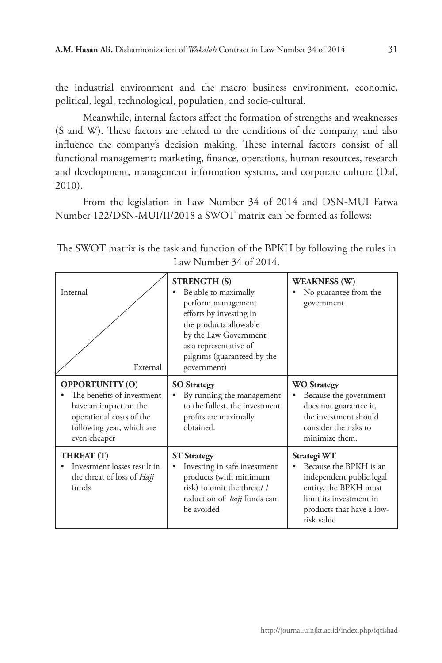the industrial environment and the macro business environment, economic, political, legal, technological, population, and socio-cultural.

Meanwhile, internal factors affect the formation of strengths and weaknesses (S and W). These factors are related to the conditions of the company, and also influence the company's decision making. These internal factors consist of all functional management: marketing, finance, operations, human resources, research and development, management information systems, and corporate culture (Daf, 2010).

From the legislation in Law Number 34 of 2014 and DSN-MUI Fatwa Number 122/DSN-MUI/II/2018 a SWOT matrix can be formed as follows:

| Internal<br>External                                                                                                                                   | <b>STRENGTH (S)</b><br>Be able to maximally<br>perform management<br>efforts by investing in<br>the products allowable<br>by the Law Government<br>as a representative of<br>pilgrims (guaranteed by the<br>government) | <b>WEAKNESS (W)</b><br>No guarantee from the<br>government                                                                                                       |
|--------------------------------------------------------------------------------------------------------------------------------------------------------|-------------------------------------------------------------------------------------------------------------------------------------------------------------------------------------------------------------------------|------------------------------------------------------------------------------------------------------------------------------------------------------------------|
| <b>OPPORTUNITY (O)</b><br>The benefits of investment<br>have an impact on the<br>operational costs of the<br>following year, which are<br>even cheaper | <b>SO Strategy</b><br>By running the management<br>to the fullest, the investment<br>profits are maximally<br>obtained.                                                                                                 | <b>WO Strategy</b><br>Because the government<br>does not guarantee it,<br>the investment should<br>consider the risks to<br>minimize them.                       |
| THREAT (T)<br>Investment losses result in<br>the threat of loss of <i>Hajj</i><br>funds                                                                | <b>ST</b> Strategy<br>Investing in safe investment<br>products (with minimum<br>risk) to omit the threat//<br>reduction of <i>hajj</i> funds can<br>be avoided                                                          | Strategi WT<br>Because the BPKH is an<br>independent public legal<br>entity, the BPKH must<br>limit its investment in<br>products that have a low-<br>risk value |

The SWOT matrix is the task and function of the BPKH by following the rules in Law Number 34 of 2014.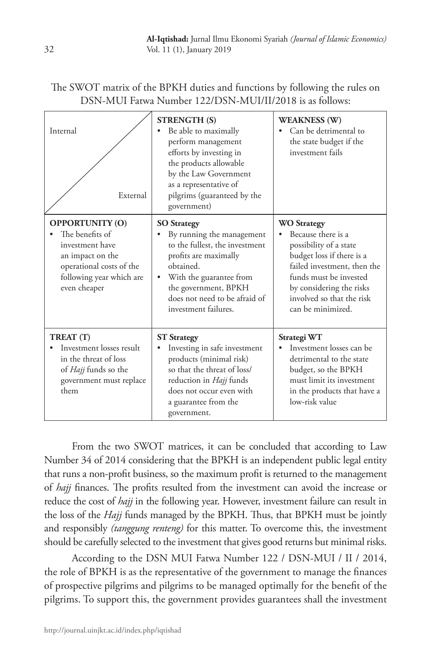| The SWOT matrix of the BPKH duties and functions by following the rules on |
|----------------------------------------------------------------------------|
| DSN-MUI Fatwa Number 122/DSN-MUI/II/2018 is as follows:                    |

| Internal<br>External                                                                                                                                     | <b>STRENGTH (S)</b><br>Be able to maximally<br>٠<br>perform management<br>efforts by investing in<br>the products allowable<br>by the Law Government<br>as a representative of<br>pilgrims (guaranteed by the<br>government)                          | <b>WEAKNESS (W)</b><br>Can be detrimental to<br>the state budget if the<br>investment fails                                                                                                                                            |
|----------------------------------------------------------------------------------------------------------------------------------------------------------|-------------------------------------------------------------------------------------------------------------------------------------------------------------------------------------------------------------------------------------------------------|----------------------------------------------------------------------------------------------------------------------------------------------------------------------------------------------------------------------------------------|
| <b>OPPORTUNITY (O)</b><br>The benefits of<br>investment have<br>an impact on the<br>operational costs of the<br>following year which are<br>even cheaper | <b>SO</b> Strategy<br>By running the management<br>٠<br>to the fullest, the investment<br>profits are maximally<br>obtained.<br>With the guarantee from<br>$\bullet$<br>the government, BPKH<br>does not need to be afraid of<br>investment failures. | <b>WO</b> Strategy<br>Because there is a<br>possibility of a state<br>budget loss if there is a<br>failed investment, then the<br>funds must be invested<br>by considering the risks<br>involved so that the risk<br>can be minimized. |
| TREAT (T)<br>Investment losses result<br>in the threat of loss<br>of <i>Hajj</i> funds so the<br>government must replace<br>them                         | <b>ST</b> Strategy<br>Investing in safe investment<br>products (minimal risk)<br>so that the threat of loss/<br>reduction in <i>Hajj</i> funds<br>does not occur even with<br>a guarantee from the<br>government.                                     | Strategi WT<br>Investment losses can be<br>detrimental to the state<br>budget, so the BPKH<br>must limit its investment<br>in the products that have a<br>low-risk value                                                               |

From the two SWOT matrices, it can be concluded that according to Law Number 34 of 2014 considering that the BPKH is an independent public legal entity that runs a non-profit business, so the maximum profit is returned to the management of *hajj* finances. The profits resulted from the investment can avoid the increase or reduce the cost of *hajj* in the following year. However, investment failure can result in the loss of the *Hajj* funds managed by the BPKH. Thus, that BPKH must be jointly and responsibly *(tanggung renteng)* for this matter. To overcome this, the investment should be carefully selected to the investment that gives good returns but minimal risks.

According to the DSN MUI Fatwa Number 122 / DSN-MUI / II / 2014, the role of BPKH is as the representative of the government to manage the finances of prospective pilgrims and pilgrims to be managed optimally for the benefit of the pilgrims. To support this, the government provides guarantees shall the investment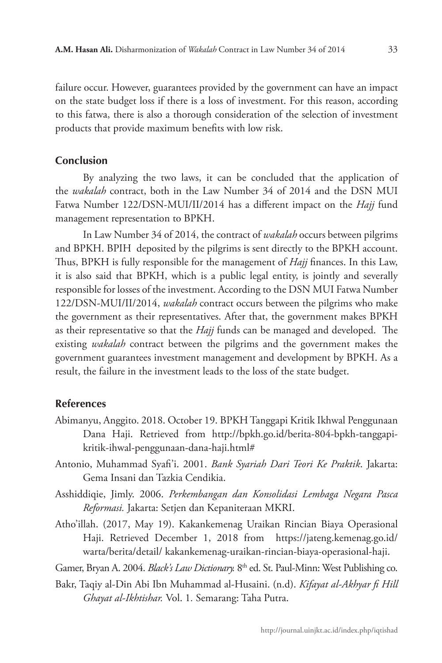failure occur. However, guarantees provided by the government can have an impact on the state budget loss if there is a loss of investment. For this reason, according to this fatwa, there is also a thorough consideration of the selection of investment products that provide maximum benefits with low risk.

#### **Conclusion**

By analyzing the two laws, it can be concluded that the application of the *wakalah* contract, both in the Law Number 34 of 2014 and the DSN MUI Fatwa Number 122/DSN-MUI/II/2014 has a different impact on the *Hajj* fund management representation to BPKH.

In Law Number 34 of 2014, the contract of *wakalah* occurs between pilgrims and BPKH. BPIH deposited by the pilgrims is sent directly to the BPKH account. Thus, BPKH is fully responsible for the management of *Hajj* finances. In this Law, it is also said that BPKH, which is a public legal entity, is jointly and severally responsible for losses of the investment. According to the DSN MUI Fatwa Number 122/DSN-MUI/II/2014, *wakalah* contract occurs between the pilgrims who make the government as their representatives. After that, the government makes BPKH as their representative so that the *Hajj* funds can be managed and developed. The existing *wakalah* contract between the pilgrims and the government makes the government guarantees investment management and development by BPKH. As a result, the failure in the investment leads to the loss of the state budget.

#### **References**

- Abimanyu, Anggito. 2018. October 19. BPKH Tanggapi Kritik Ikhwal Penggunaan Dana Haji. Retrieved from http://bpkh.go.id/berita-804-bpkh-tanggapikritik-ihwal-penggunaan-dana-haji.html#
- Antonio, Muhammad Syafi'i. 2001. *Bank Syariah Dari Teori Ke Praktik*. Jakarta: Gema Insani dan Tazkia Cendikia.
- Asshiddiqie, Jimly. 2006. *Perkembangan dan Konsolidasi Lembaga Negara Pasca Reformasi.* Jakarta: Setjen dan Kepaniteraan MKRI.
- Atho'illah. (2017, May 19). Kakankemenag Uraikan Rincian Biaya Operasional Haji. Retrieved December 1, 2018 from https://jateng.kemenag.go.id/ warta/berita/detail/ kakankemenag-uraikan-rincian-biaya-operasional-haji.
- Gamer, Bryan A. 2004. *Black's Law Dictionary.* 8th ed. St. Paul-Minn: West Publishing co.
- Bakr, Taqiy al-Din Abi Ibn Muhammad al-Husaini. (n.d). *Kifayat al-Akhyar fi Hill Ghayat al-Ikhtishar.* Vol. 1*.* Semarang: Taha Putra.